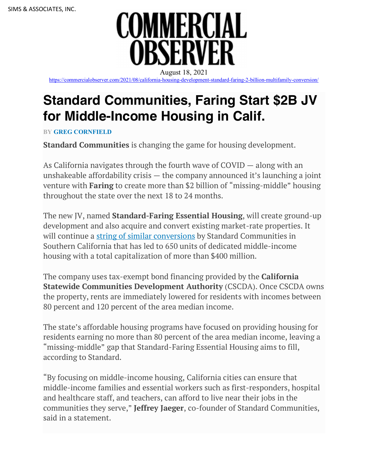

https://commercialobserver.com/2021/08/california-housing-development-standard-faring-2-billion-multifamily-conversion/

## **Standard Communities, Faring Start \$2B JV for Middle-Income Housing in Calif.**

**BY GREG CORNFIELD**

**Standard Communities** is changing the game for housing development.

As California navigates through the fourth wave of COVID — along with an unshakeable affordability crisis — the company announced it's launching a joint venture with **Faring** to create more than \$2 billion of "missing-middle" housing throughout the state over the next 18 to 24 months.

The new JV, named **Standard-Faring Essential Housing**, will create ground-up development and also acquire and convert existing market-rate properties. It will continue a string of similar conversions by Standard Communities in Southern California that has led to 650 units of dedicated middle-income housing with a total capitalization of more than \$400 million.

The company uses tax-exempt bond financing provided by the **California Statewide Communities Development Authority** (CSCDA). Once CSCDA owns the property, rents are immediately lowered for residents with incomes between 80 percent and 120 percent of the area median income.

The state's affordable housing programs have focused on providing housing for residents earning no more than 80 percent of the area median income, leaving a "missing-middle" gap that Standard-Faring Essential Housing aims to fill, according to Standard.

"By focusing on middle-income housing, California cities can ensure that middle-income families and essential workers such as first-responders, hospital and healthcare staff, and teachers, can afford to live near their jobs in the communities they serve," **Jeffrey Jaeger**, co-founder of Standard Communities, said in a statement.